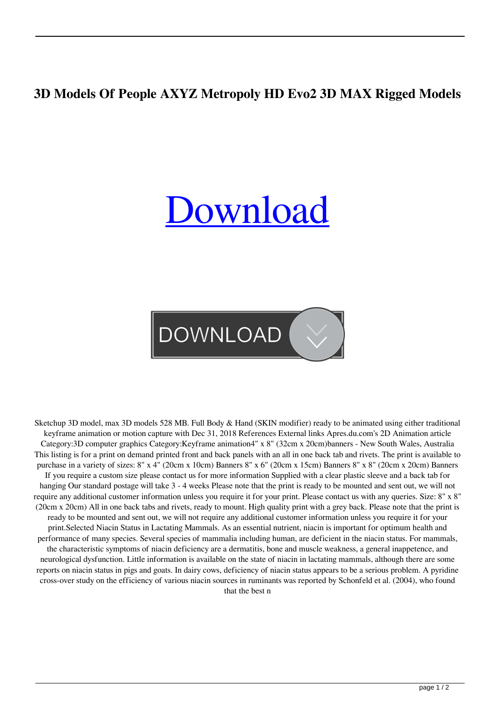## **3D Models Of People AXYZ Metropoly HD Evo2 3D MAX Rigged Models**

## [Download](http://evacdir.com/tornado.altogether.cath/kucher.M0QgbW9kZWxzIG9mIHBlb3BsZSBBWFlaIE1ldHJvcG9seSBIRCBldm8yIDNEIE1BWCBSaWdnZWQgTW9kZWxzM0Q.meaning.incalculable/soulcollagers.ZG93bmxvYWR8SUM4TjNOcmZId3hOalV5TnpRd09EWTJmSHd5TlRjMGZId29UU2tnY21WaFpDMWliRzluSUZ0R1lYTjBJRWRGVGww)

**DOWNLOAD** 

Sketchup 3D model, max 3D models 528 MB. Full Body & Hand (SKIN modifier) ready to be animated using either traditional keyframe animation or motion capture with Dec 31, 2018 References External links Apres.du.com's 2D Animation article Category:3D computer graphics Category:Keyframe animation4" x 8" (32cm x 20cm)banners - New South Wales, Australia This listing is for a print on demand printed front and back panels with an all in one back tab and rivets. The print is available to purchase in a variety of sizes: 8" x 4" (20cm x 10cm) Banners 8" x 6" (20cm x 15cm) Banners 8" x 8" (20cm x 20cm) Banners If you require a custom size please contact us for more information Supplied with a clear plastic sleeve and a back tab for hanging Our standard postage will take 3 - 4 weeks Please note that the print is ready to be mounted and sent out, we will not require any additional customer information unless you require it for your print. Please contact us with any queries. Size: 8" x 8" (20cm x 20cm) All in one back tabs and rivets, ready to mount. High quality print with a grey back. Please note that the print is ready to be mounted and sent out, we will not require any additional customer information unless you require it for your print.Selected Niacin Status in Lactating Mammals. As an essential nutrient, niacin is important for optimum health and performance of many species. Several species of mammalia including human, are deficient in the niacin status. For mammals, the characteristic symptoms of niacin deficiency are a dermatitis, bone and muscle weakness, a general inappetence, and neurological dysfunction. Little information is available on the state of niacin in lactating mammals, although there are some reports on niacin status in pigs and goats. In dairy cows, deficiency of niacin status appears to be a serious problem. A pyridine cross-over study on the efficiency of various niacin sources in ruminants was reported by Schonfeld et al. (2004), who found that the best n